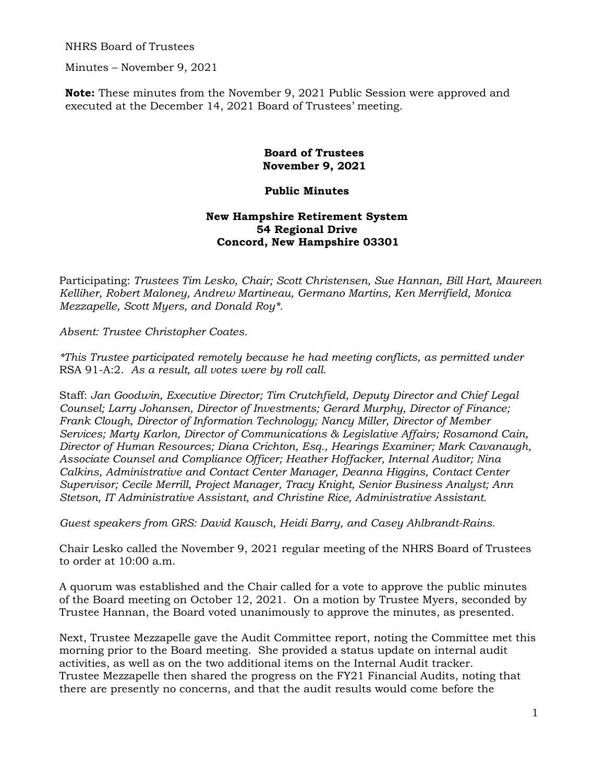NHRS Board of Trustees

Minutes – November 9, 2021

**Note:** These minutes from the November 9, 2021 Public Session were approved and executed at the December 14, 2021 Board of Trustees' meeting.

> **Board of Trustees November 9, 2021**

## **Public Minutes**

## **New Hampshire Retirement System 54 Regional Drive Concord, New Hampshire 03301**

Participating: *Trustees Tim Lesko, Chair; Scott Christensen, Sue Hannan, Bill Hart, Maureen Kelliher, Robert Maloney, Andrew Martineau, Germano Martins, Ken Merrifield, Monica Mezzapelle, Scott Myers, and Donald Roy\*.* 

*Absent: Trustee Christopher Coates.* 

*\*This Trustee participated remotely because he had meeting conflicts, as permitted under*  RSA 91-A:2. *As a result, all votes were by roll call.* 

Staff: *Jan Goodwin, Executive Director; Tim Crutchfield, Deputy Director and Chief Legal Counsel; Larry Johansen, Director of Investments; Gerard Murphy, Director of Finance; Frank Clough, Director of Information Technology; Nancy Miller, Director of Member Services; Marty Karlon, Director of Communications & Legislative Affairs; Rosamond Cain, Director of Human Resources; Diana Crichton, Esq., Hearings Examiner; Mark Cavanaugh, Associate Counsel and Compliance Officer; Heather Hoffacker, Internal Auditor; Nina Calkins, Administrative and Contact Center Manager, Deanna Higgins, Contact Center Supervisor; Cecile Merrill, Project Manager, Tracy Knight, Senior Business Analyst; Ann Stetson, IT Administrative Assistant, and Christine Rice, Administrative Assistant.* 

*Guest speakers from GRS: David Kausch, Heidi Barry, and Casey Ahlbrandt-Rains.* 

Chair Lesko called the November 9, 2021 regular meeting of the NHRS Board of Trustees to order at 10:00 a.m.

A quorum was established and the Chair called for a vote to approve the public minutes of the Board meeting on October 12, 2021. On a motion by Trustee Myers, seconded by Trustee Hannan, the Board voted unanimously to approve the minutes, as presented.

Next, Trustee Mezzapelle gave the Audit Committee report, noting the Committee met this morning prior to the Board meeting. She provided a status update on internal audit activities, as well as on the two additional items on the Internal Audit tracker. Trustee Mezzapelle then shared the progress on the FY21 Financial Audits, noting that there are presently no concerns, and that the audit results would come before the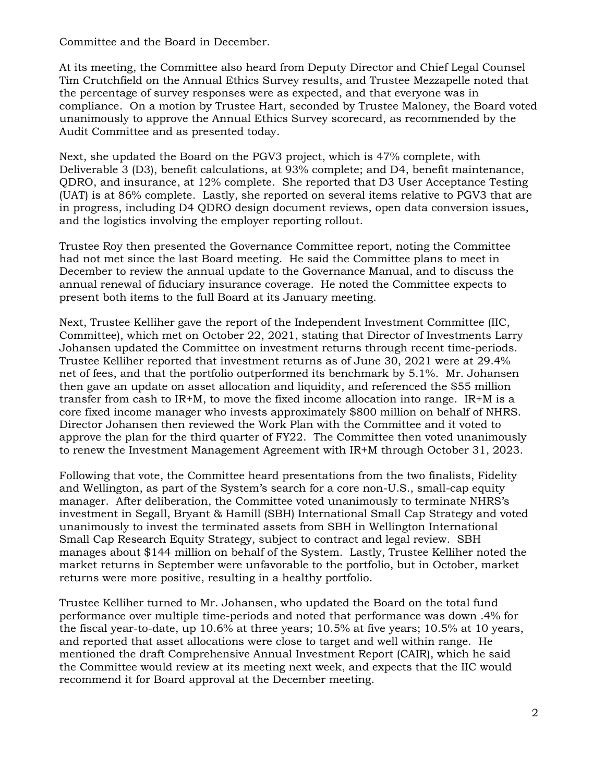Committee and the Board in December.

At its meeting, the Committee also heard from Deputy Director and Chief Legal Counsel Tim Crutchfield on the Annual Ethics Survey results, and Trustee Mezzapelle noted that the percentage of survey responses were as expected, and that everyone was in compliance. On a motion by Trustee Hart, seconded by Trustee Maloney, the Board voted unanimously to approve the Annual Ethics Survey scorecard, as recommended by the Audit Committee and as presented today.

Next, she updated the Board on the PGV3 project, which is 47% complete, with Deliverable 3 (D3), benefit calculations, at 93% complete; and D4, benefit maintenance, QDRO, and insurance, at 12% complete. She reported that D3 User Acceptance Testing (UAT) is at 86% complete. Lastly, she reported on several items relative to PGV3 that are in progress, including D4 QDRO design document reviews, open data conversion issues, and the logistics involving the employer reporting rollout.

Trustee Roy then presented the Governance Committee report, noting the Committee had not met since the last Board meeting. He said the Committee plans to meet in December to review the annual update to the Governance Manual, and to discuss the annual renewal of fiduciary insurance coverage. He noted the Committee expects to present both items to the full Board at its January meeting.

Next, Trustee Kelliher gave the report of the Independent Investment Committee (IIC, Committee), which met on October 22, 2021, stating that Director of Investments Larry Johansen updated the Committee on investment returns through recent time-periods. Trustee Kelliher reported that investment returns as of June 30, 2021 were at 29.4% net of fees, and that the portfolio outperformed its benchmark by 5.1%. Mr. Johansen then gave an update on asset allocation and liquidity, and referenced the \$55 million transfer from cash to IR+M, to move the fixed income allocation into range. IR+M is a core fixed income manager who invests approximately \$800 million on behalf of NHRS. Director Johansen then reviewed the Work Plan with the Committee and it voted to approve the plan for the third quarter of FY22. The Committee then voted unanimously to renew the Investment Management Agreement with IR+M through October 31, 2023.

Following that vote, the Committee heard presentations from the two finalists, Fidelity and Wellington, as part of the System's search for a core non-U.S., small-cap equity manager. After deliberation, the Committee voted unanimously to terminate NHRS's investment in Segall, Bryant & Hamill (SBH) International Small Cap Strategy and voted unanimously to invest the terminated assets from SBH in Wellington International Small Cap Research Equity Strategy, subject to contract and legal review. SBH manages about \$144 million on behalf of the System. Lastly, Trustee Kelliher noted the market returns in September were unfavorable to the portfolio, but in October, market returns were more positive, resulting in a healthy portfolio.

Trustee Kelliher turned to Mr. Johansen, who updated the Board on the total fund performance over multiple time-periods and noted that performance was down .4% for the fiscal year-to-date, up 10.6% at three years; 10.5% at five years; 10.5% at 10 years, and reported that asset allocations were close to target and well within range. He mentioned the draft Comprehensive Annual Investment Report (CAIR), which he said the Committee would review at its meeting next week, and expects that the IIC would recommend it for Board approval at the December meeting.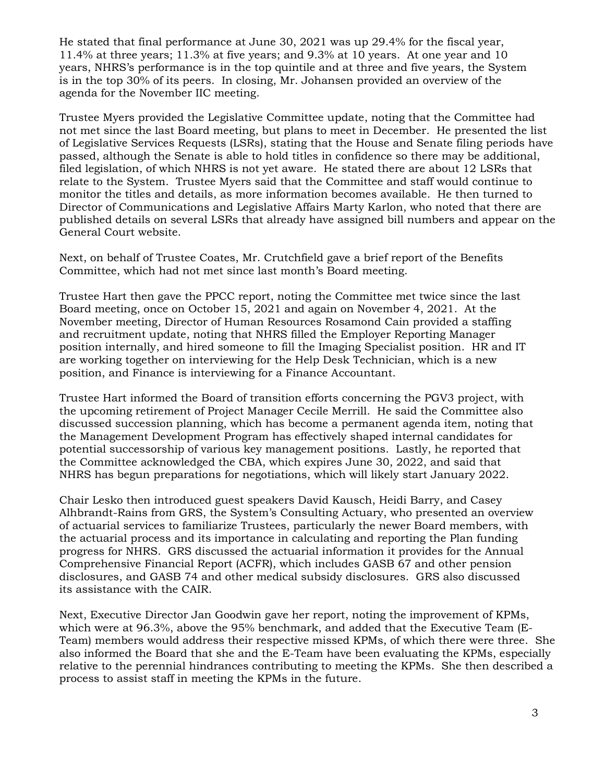He stated that final performance at June 30, 2021 was up 29.4% for the fiscal year, 11.4% at three years; 11.3% at five years; and 9.3% at 10 years. At one year and 10 years, NHRS's performance is in the top quintile and at three and five years, the System is in the top 30% of its peers. In closing, Mr. Johansen provided an overview of the agenda for the November IIC meeting.

Trustee Myers provided the Legislative Committee update, noting that the Committee had not met since the last Board meeting, but plans to meet in December. He presented the list of Legislative Services Requests (LSRs), stating that the House and Senate filing periods have passed, although the Senate is able to hold titles in confidence so there may be additional, filed legislation, of which NHRS is not yet aware. He stated there are about 12 LSRs that relate to the System. Trustee Myers said that the Committee and staff would continue to monitor the titles and details, as more information becomes available. He then turned to Director of Communications and Legislative Affairs Marty Karlon, who noted that there are published details on several LSRs that already have assigned bill numbers and appear on the General Court website.

Next, on behalf of Trustee Coates, Mr. Crutchfield gave a brief report of the Benefits Committee, which had not met since last month's Board meeting.

Trustee Hart then gave the PPCC report, noting the Committee met twice since the last Board meeting, once on October 15, 2021 and again on November 4, 2021. At the November meeting, Director of Human Resources Rosamond Cain provided a staffing and recruitment update, noting that NHRS filled the Employer Reporting Manager position internally, and hired someone to fill the Imaging Specialist position. HR and IT are working together on interviewing for the Help Desk Technician, which is a new position, and Finance is interviewing for a Finance Accountant.

Trustee Hart informed the Board of transition efforts concerning the PGV3 project, with the upcoming retirement of Project Manager Cecile Merrill. He said the Committee also discussed succession planning, which has become a permanent agenda item, noting that the Management Development Program has effectively shaped internal candidates for potential successorship of various key management positions. Lastly, he reported that the Committee acknowledged the CBA, which expires June 30, 2022, and said that NHRS has begun preparations for negotiations, which will likely start January 2022.

Chair Lesko then introduced guest speakers David Kausch, Heidi Barry, and Casey Alhbrandt-Rains from GRS, the System's Consulting Actuary, who presented an overview of actuarial services to familiarize Trustees, particularly the newer Board members, with the actuarial process and its importance in calculating and reporting the Plan funding progress for NHRS. GRS discussed the actuarial information it provides for the Annual Comprehensive Financial Report (ACFR), which includes GASB 67 and other pension disclosures, and GASB 74 and other medical subsidy disclosures. GRS also discussed its assistance with the CAIR.

Next, Executive Director Jan Goodwin gave her report, noting the improvement of KPMs, which were at 96.3%, above the 95% benchmark, and added that the Executive Team (E-Team) members would address their respective missed KPMs, of which there were three. She also informed the Board that she and the E-Team have been evaluating the KPMs, especially relative to the perennial hindrances contributing to meeting the KPMs. She then described a process to assist staff in meeting the KPMs in the future.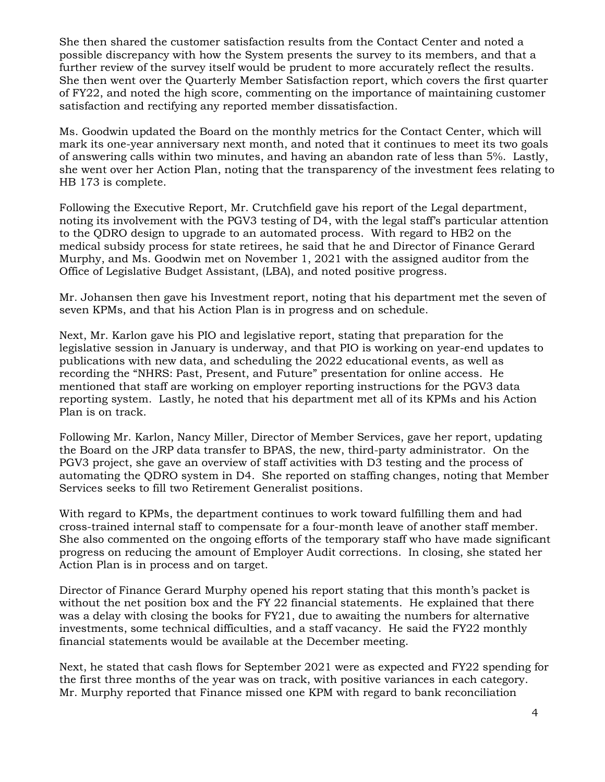She then shared the customer satisfaction results from the Contact Center and noted a possible discrepancy with how the System presents the survey to its members, and that a further review of the survey itself would be prudent to more accurately reflect the results. She then went over the Quarterly Member Satisfaction report, which covers the first quarter of FY22, and noted the high score, commenting on the importance of maintaining customer satisfaction and rectifying any reported member dissatisfaction.

Ms. Goodwin updated the Board on the monthly metrics for the Contact Center, which will mark its one-year anniversary next month, and noted that it continues to meet its two goals of answering calls within two minutes, and having an abandon rate of less than 5%. Lastly, she went over her Action Plan, noting that the transparency of the investment fees relating to HB 173 is complete.

Following the Executive Report, Mr. Crutchfield gave his report of the Legal department, noting its involvement with the PGV3 testing of D4, with the legal staff's particular attention to the QDRO design to upgrade to an automated process. With regard to HB2 on the medical subsidy process for state retirees, he said that he and Director of Finance Gerard Murphy, and Ms. Goodwin met on November 1, 2021 with the assigned auditor from the Office of Legislative Budget Assistant, (LBA), and noted positive progress.

Mr. Johansen then gave his Investment report, noting that his department met the seven of seven KPMs, and that his Action Plan is in progress and on schedule.

Next, Mr. Karlon gave his PIO and legislative report, stating that preparation for the legislative session in January is underway, and that PIO is working on year-end updates to publications with new data, and scheduling the 2022 educational events, as well as recording the "NHRS: Past, Present, and Future" presentation for online access. He mentioned that staff are working on employer reporting instructions for the PGV3 data reporting system. Lastly, he noted that his department met all of its KPMs and his Action Plan is on track.

Following Mr. Karlon, Nancy Miller, Director of Member Services, gave her report, updating the Board on the JRP data transfer to BPAS, the new, third-party administrator. On the PGV3 project, she gave an overview of staff activities with D3 testing and the process of automating the QDRO system in D4. She reported on staffing changes, noting that Member Services seeks to fill two Retirement Generalist positions.

With regard to KPMs, the department continues to work toward fulfilling them and had cross-trained internal staff to compensate for a four-month leave of another staff member. She also commented on the ongoing efforts of the temporary staff who have made significant progress on reducing the amount of Employer Audit corrections. In closing, she stated her Action Plan is in process and on target.

Director of Finance Gerard Murphy opened his report stating that this month's packet is without the net position box and the FY 22 financial statements. He explained that there was a delay with closing the books for FY21, due to awaiting the numbers for alternative investments, some technical difficulties, and a staff vacancy. He said the FY22 monthly financial statements would be available at the December meeting.

Next, he stated that cash flows for September 2021 were as expected and FY22 spending for the first three months of the year was on track, with positive variances in each category. Mr. Murphy reported that Finance missed one KPM with regard to bank reconciliation